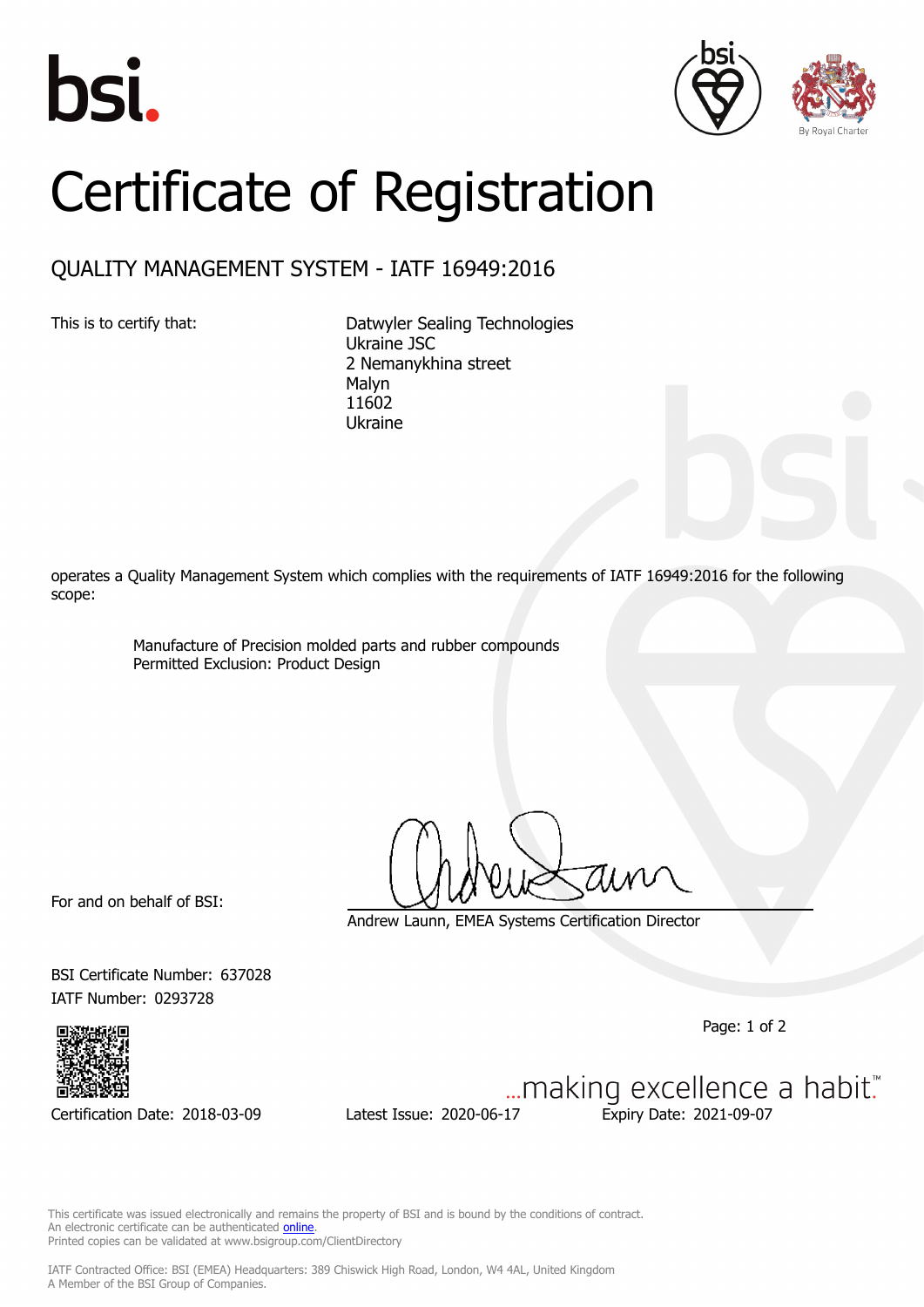





## Certificate of Registration

## QUALITY MANAGEMENT SYSTEM - IATF 16949:2016

This is to certify that: Datwyler Sealing Technologies Ukraine JSC 2 Nemanykhina street Malyn 11602 Ukraine

operates a Quality Management System which complies with the requirements of IATF 16949:2016 for the following scope:

> Manufacture of Precision molded parts and rubber compounds Permitted Exclusion: Product Design

For and on behalf of BSI:

Andrew Launn, EMEA Systems Certification Director

BSI Certificate Number: 637028 IATF Number: 0293728

SASSES IN A CHERTIC SERVICE A GUIDE ISSUE IN A CHERTIFIC A MADIT."<br>Certification Date: 2018-03-09 Latest Issue: 2020-06-17 Expiry Date: 2021-09-07

This certificate was issued electronically and remains the property of BSI and is bound by the conditions of contract. An electronic certificate can be authenticated **[online](https://pgplus.bsigroup.com/CertificateValidation/CertificateValidator.aspx?CertificateNumber=TS+637028&ReIssueDate=17%2f06%2f2020&Template=cemea_en)** Printed copies can be validated at www.bsigroup.com/ClientDirectory

IATF Contracted Office: BSI (EMEA) Headquarters: 389 Chiswick High Road, London, W4 4AL, United Kingdom A Member of the BSI Group of Companies.

Page: 1 of 2